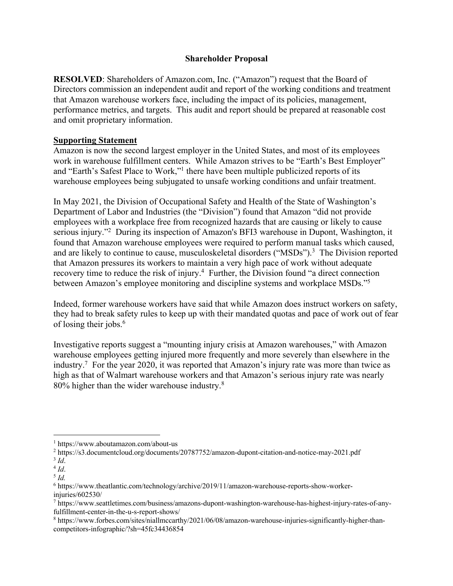## **Shareholder Proposal**

**RESOLVED**: Shareholders of Amazon.com, Inc. ("Amazon") request that the Board of Directors commission an independent audit and report of the working conditions and treatment that Amazon warehouse workers face, including the impact of its policies, management, performance metrics, and targets. This audit and report should be prepared at reasonable cost and omit proprietary information.

## **Supporting Statement**

Amazon is now the second largest employer in the United States, and most of its employees work in warehouse fulfillment centers. While Amazon strives to be "Earth's Best Employer" and "Earth's Safest Place to Work,"1 there have been multiple publicized reports of its warehouse employees being subjugated to unsafe working conditions and unfair treatment.

In May 2021, the Division of Occupational Safety and Health of the State of Washington's Department of Labor and Industries (the "Division") found that Amazon "did not provide employees with a workplace free from recognized hazards that are causing or likely to cause serious injury."2 During its inspection of Amazon's BFI3 warehouse in Dupont, Washington, it found that Amazon warehouse employees were required to perform manual tasks which caused, and are likely to continue to cause, musculoskeletal disorders ("MSDs").<sup>3</sup> The Division reported that Amazon pressures its workers to maintain a very high pace of work without adequate recovery time to reduce the risk of injury.<sup>4</sup> Further, the Division found "a direct connection between Amazon's employee monitoring and discipline systems and workplace MSDs."5

Indeed, former warehouse workers have said that while Amazon does instruct workers on safety, they had to break safety rules to keep up with their mandated quotas and pace of work out of fear of losing their jobs. $<sup>6</sup>$ </sup>

Investigative reports suggest a "mounting injury crisis at Amazon warehouses," with Amazon warehouse employees getting injured more frequently and more severely than elsewhere in the industry.<sup>7</sup> For the year 2020, it was reported that Amazon's injury rate was more than twice as high as that of Walmart warehouse workers and that Amazon's serious injury rate was nearly 80% higher than the wider warehouse industry.<sup>8</sup>

<sup>1</sup> https://www.aboutamazon.com/about-us

<sup>2</sup> https://s3.documentcloud.org/documents/20787752/amazon-dupont-citation-and-notice-may-2021.pdf

 $3$   $Id.$ 

 $4$   $\overline{Id}$ .

<sup>5</sup> *Id.*

<sup>6</sup> https://www.theatlantic.com/technology/archive/2019/11/amazon-warehouse-reports-show-workerinjuries/602530/

<sup>7</sup> https://www.seattletimes.com/business/amazons-dupont-washington-warehouse-has-highest-injury-rates-of-anyfulfillment-center-in-the-u-s-report-shows/

<sup>8</sup> https://www.forbes.com/sites/niallmccarthy/2021/06/08/amazon-warehouse-injuries-significantly-higher-thancompetitors-infographic/?sh=45fc34436854